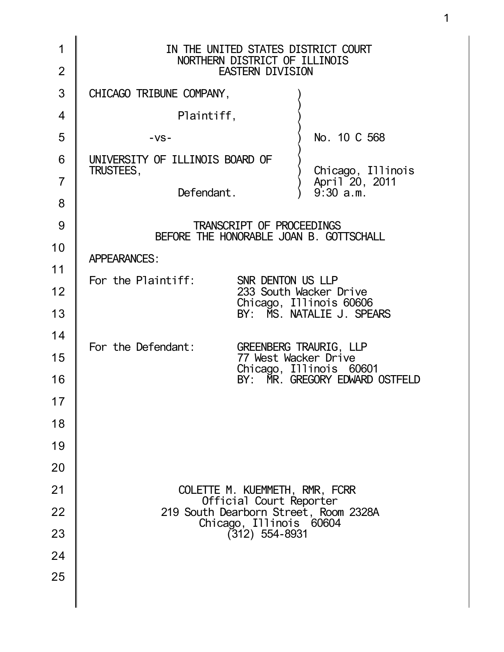| 1<br>$\overline{2}$ | IN THE UNITED STATES DISTRICT COURT<br>NORTHERN DISTRICT OF ILLINOIS<br><b>EASTERN DIVISION</b> |
|---------------------|-------------------------------------------------------------------------------------------------|
| 3                   | CHICAGO TRIBUNE COMPANY,                                                                        |
| 4                   | Plaintiff,                                                                                      |
| 5                   | No. 10 C 568<br>$-VS -$                                                                         |
| 6                   | UNIVERSITY OF ILLINOIS BOARD OF<br>TRUSTEES,                                                    |
| $\overline{7}$      | Chicago, Illinois<br>April 20, 2011<br>9:30 a.m.<br>Defendant.                                  |
| 8                   |                                                                                                 |
| 9                   | TRANSCRIPT OF PROCEEDINGS<br>BEFORE THE HONORABLE JOAN B. GOTTSCHALL                            |
| 10                  | <b>APPEARANCES:</b>                                                                             |
| 11                  | For the Plaintiff:<br>SNR DENTON US LLP                                                         |
| 12                  | 233 South Wacker Drive                                                                          |
| 13                  | Chicago, Illinois 60606<br>BY: MS. NATALIE J. SPEARS                                            |
| 14                  | For the Defendant:<br><b>GREENBERG TRAURIG, LLP</b>                                             |
| 15                  | 77 West Wacker Drive                                                                            |
| 16                  | Chicago, Illinois 60601<br>BY: MR. GREGORY EDWARD OSTFELD                                       |
| 17                  |                                                                                                 |
| 18                  |                                                                                                 |
| 19                  |                                                                                                 |
| 20                  |                                                                                                 |
| 21                  | COLETTE M. KUEMMETH, RMR, FCRR<br>Official Court Reporter                                       |
| 22                  | 219 South Dearborn Street, Room 2328A                                                           |
| 23                  | Chicago, Illinois 60604<br>(312) 554-8931                                                       |
| 24                  |                                                                                                 |
| 25                  |                                                                                                 |
|                     |                                                                                                 |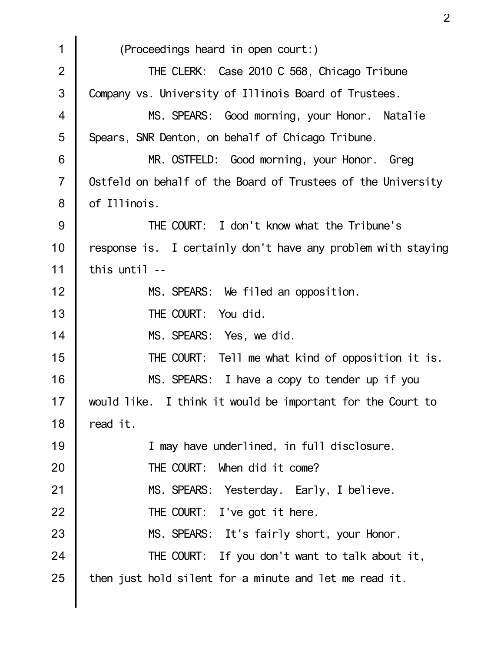1 2 3 4 5 6 7 8 9 10 11 12 13 14 15 16 17 18 19 20 21 22 23 24 25 (Proceedings heard in open court:) THE CLERK: Case 2010 C 568, Chicago Tribune Company vs. University of Illinois Board of Trustees. MS. SPEARS: Good morning, your Honor. Natalie Spears, SNR Denton, on behalf of Chicago Tribune. MR. OSTFELD: Good morning, your Honor. Greg Ostfeld on behalf of the Board of Trustees of the University of Illinois. THE COURT: I don't know what the Tribune's response is. I certainly don't have any problem with staying this until -- MS. SPEARS: We filed an opposition. THE COURT: You did. MS. SPEARS: Yes, we did. THE COURT: Tell me what kind of opposition it is. MS. SPEARS: I have a copy to tender up if you would like. I think it would be important for the Court to read it. I may have underlined, in full disclosure. THE COURT: When did it come? MS. SPEARS: Yesterday. Early, I believe. THE COURT: I've got it here. MS. SPEARS: It's fairly short, your Honor. THE COURT: If you don't want to talk about it, then just hold silent for a minute and let me read it.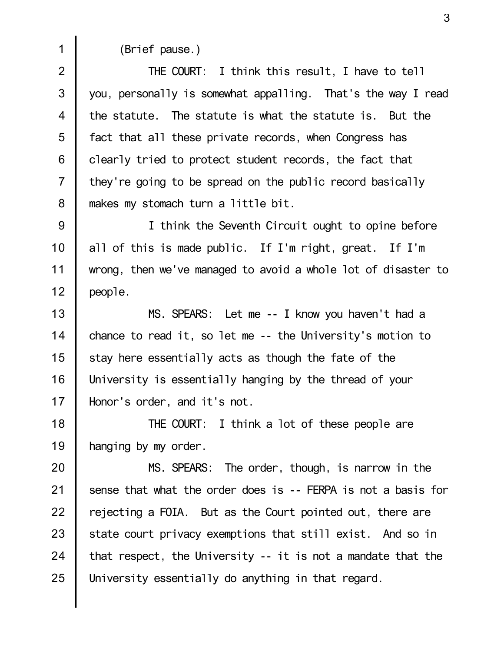1

(Brief pause.)

2 3 4 5 6 7 8 THE COURT: I think this result, I have to tell you, personally is somewhat appalling. That's the way I read the statute. The statute is what the statute is. But the fact that all these private records, when Congress has clearly tried to protect student records, the fact that they're going to be spread on the public record basically makes my stomach turn a little bit.

9 10 11 12 I think the Seventh Circuit ought to opine before all of this is made public. If I'm right, great. If I'm wrong, then we've managed to avoid a whole lot of disaster to people.

13 14 15 16 17 MS. SPEARS: Let me -- I know you haven't had a chance to read it, so let me -- the University's motion to stay here essentially acts as though the fate of the University is essentially hanging by the thread of your Honor's order, and it's not.

18 19 THE COURT: I think a lot of these people are hanging by my order.

20 21 22 23 24 25 MS. SPEARS: The order, though, is narrow in the sense that what the order does is -- FERPA is not a basis for rejecting a FOIA. But as the Court pointed out, there are state court privacy exemptions that still exist. And so in that respect, the University -- it is not a mandate that the University essentially do anything in that regard.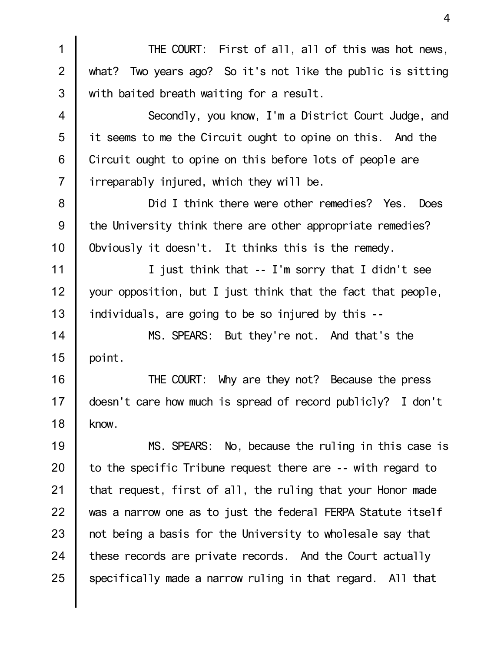THE COURT: First of all, all of this was hot news, what? Two years ago? So it's not like the public is sitting with baited breath waiting for a result.

1

2

3

4

5

6

7

Secondly, you know, I'm a District Court Judge, and it seems to me the Circuit ought to opine on this. And the Circuit ought to opine on this before lots of people are irreparably injured, which they will be.

8 9 10 Did I think there were other remedies? Yes. Does the University think there are other appropriate remedies? Obviously it doesn't. It thinks this is the remedy.

11 12 13 I just think that -- I'm sorry that I didn't see your opposition, but I just think that the fact that people, individuals, are going to be so injured by this --

14 15 MS. SPEARS: But they're not. And that's the point.

16 17 18 THE COURT: Why are they not? Because the press doesn't care how much is spread of record publicly? I don't know.

19 20 21 22 23 24 25 MS. SPEARS: No, because the ruling in this case is to the specific Tribune request there are -- with regard to that request, first of all, the ruling that your Honor made was a narrow one as to just the federal FERPA Statute itself not being a basis for the University to wholesale say that these records are private records. And the Court actually specifically made a narrow ruling in that regard. All that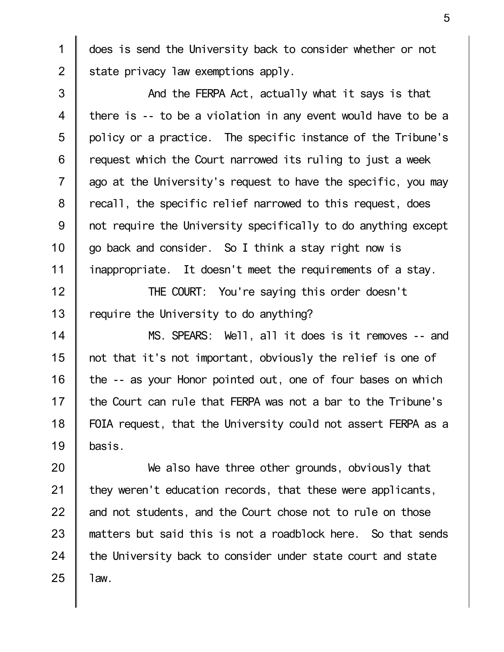does is send the University back to consider whether or not state privacy law exemptions apply.

1

2

3 4 5 6 7 8 9 10 11 And the FERPA Act, actually what it says is that there is -- to be a violation in any event would have to be a policy or a practice. The specific instance of the Tribune's request which the Court narrowed its ruling to just a week ago at the University's request to have the specific, you may recall, the specific relief narrowed to this request, does not require the University specifically to do anything except go back and consider. So I think a stay right now is inappropriate. It doesn't meet the requirements of a stay.

12 13 THE COURT: You're saying this order doesn't require the University to do anything?

14 15 16 17 18 19 MS. SPEARS: Well, all it does is it removes -- and not that it's not important, obviously the relief is one of the -- as your Honor pointed out, one of four bases on which the Court can rule that FERPA was not a bar to the Tribune's FOIA request, that the University could not assert FERPA as a basis.

20 21 22 23 24 25 We also have three other grounds, obviously that they weren't education records, that these were applicants, and not students, and the Court chose not to rule on those matters but said this is not a roadblock here. So that sends the University back to consider under state court and state law.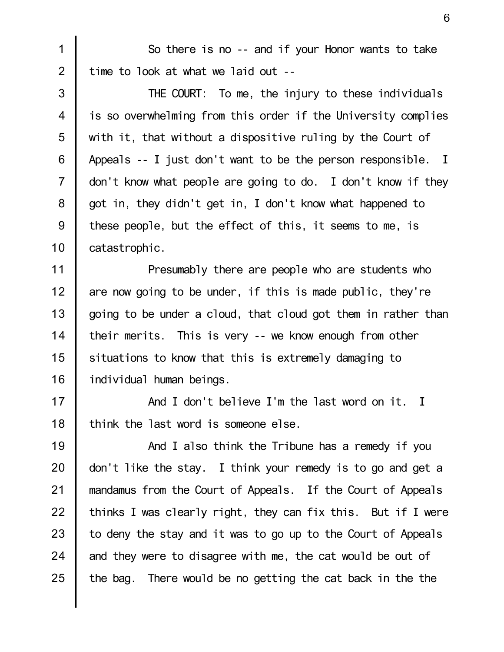So there is no -- and if your Honor wants to take time to look at what we laid out --

1

2

3 4 5 6 7 8 9 10 THE COURT: To me, the injury to these individuals is so overwhelming from this order if the University complies with it, that without a dispositive ruling by the Court of Appeals -- I just don't want to be the person responsible. I don't know what people are going to do. I don't know if they got in, they didn't get in, I don't know what happened to these people, but the effect of this, it seems to me, is catastrophic.

11 12 13 14 15 16 Presumably there are people who are students who are now going to be under, if this is made public, they're going to be under a cloud, that cloud got them in rather than their merits. This is very -- we know enough from other situations to know that this is extremely damaging to individual human beings.

17 18 And I don't believe I'm the last word on it. I think the last word is someone else.

19 20 21 22 23 24 25 And I also think the Tribune has a remedy if you don't like the stay. I think your remedy is to go and get a mandamus from the Court of Appeals. If the Court of Appeals thinks I was clearly right, they can fix this. But if I were to deny the stay and it was to go up to the Court of Appeals and they were to disagree with me, the cat would be out of the bag. There would be no getting the cat back in the the